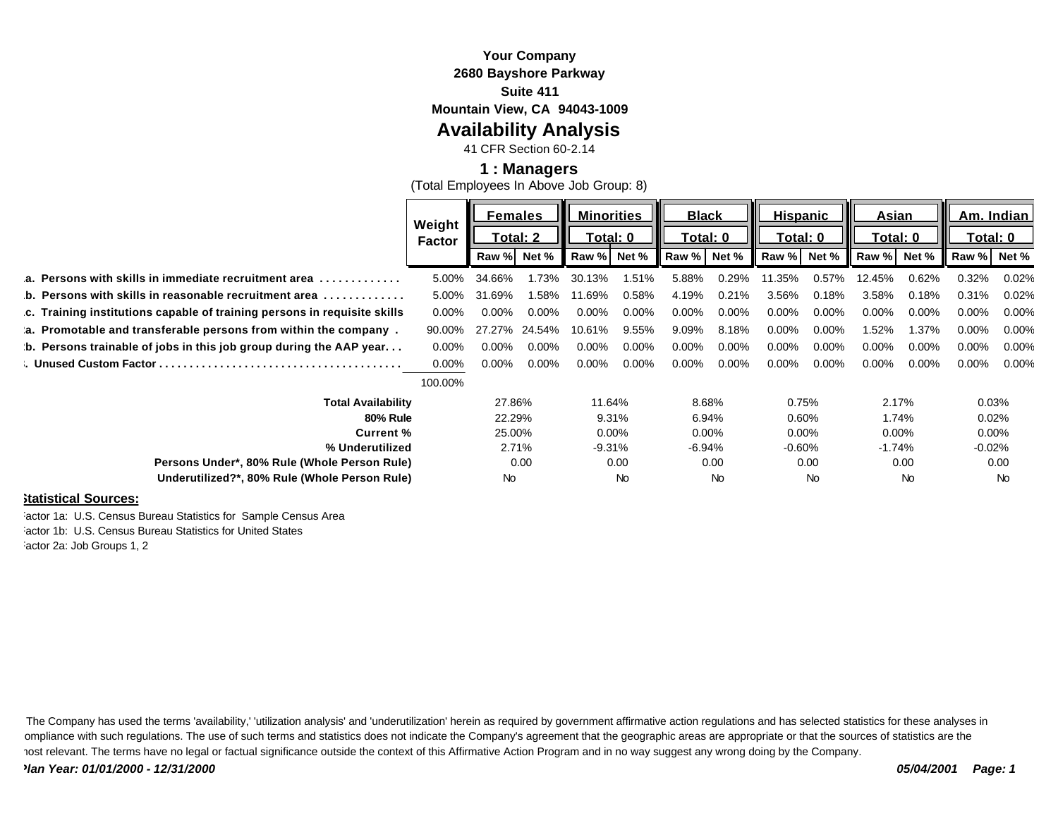### **Your Company 2680 Bayshore Parkway Suite 411**

**Mountain View, CA 94043-1009**

## **Availability Analysis**

41 CFR Section 60-2.14

#### **1 : Managers**

(Total Employees In Above Job Group: 8)

|                                                                               | Weight        | <b>Females</b> |          | <b>Minorities</b> |          | <b>Black</b> |          | <b>Hispanic</b> |          | <b>Asian</b> |          | Am. Indian |       |
|-------------------------------------------------------------------------------|---------------|----------------|----------|-------------------|----------|--------------|----------|-----------------|----------|--------------|----------|------------|-------|
|                                                                               | <b>Factor</b> | Total: 2       |          | Total: 0          |          | Total: 0     |          | Total: 0        |          | Total: 0     |          | Total: 0   |       |
|                                                                               |               | Raw %          | Net %    | Raw %             | Net %    | Raw %        | Net %    | Raw %           | Net %    | Raw %        | Net %    | Raw %      | Net % |
| a. Persons with skills in immediate recruitment area<br>.                     | 5.00%         | 34.66%         | 1.73%    | 30.13%            | 1.51%    | 5.88%        | 0.29%    | 1.35%           | 0.57%    | 12.45%       | 0.62%    | 0.32%      | 0.02% |
| b. Persons with skills in reasonable recruitment area $\ldots \ldots \ldots$  | 5.00%         | 31.69%         | 1.58%    | 11.69%            | 0.58%    | 4.19%        | 0.21%    | 3.56%           | 0.18%    | 3.58%        | 0.18%    | 0.31%      | 0.02% |
| c. Training institutions capable of training persons in requisite skills      | $0.00\%$      | $0.00\%$       | $0.00\%$ | $0.00\%$          | $0.00\%$ | $0.00\%$     | $0.00\%$ | $0.00\%$        | $0.00\%$ | $0.00\%$     | $0.00\%$ | 0.00%      | 0.00% |
| a. Promotable and transferable persons from within the company.               | 90.00%        | 27.27%         | 24.54%   | 10.61%            | 9.55%    | 9.09%        | 8.18%    | 0.00%           | $0.00\%$ | 1.52%        | 1.37%    | 0.00%      | 0.00% |
| $\mathbf b$ . Persons trainable of jobs in this job group during the AAP year | $0.00\%$      | $0.00\%$       | $0.00\%$ | 0.00%             | $0.00\%$ | $0.00\%$     | $0.00\%$ | 0.00%           | $0.00\%$ | $0.00\%$     | $0.00\%$ | 0.00%      | 0.00% |
|                                                                               | $0.00\%$      | 0.00%          | $0.00\%$ | 0.00%             | $0.00\%$ | $0.00\%$     | $0.00\%$ | 0.00%           | $0.00\%$ | $0.00\%$     | $0.00\%$ | $0.00\%$   | 0.00% |
|                                                                               | 100.00%       |                |          |                   |          |              |          |                 |          |              |          |            |       |
| <b>Total Availability</b>                                                     |               | 27.86%         |          | 11.64%            |          | 8.68%        |          | 0.75%           |          | 2.17%        |          | 0.03%      |       |
| <b>80% Rule</b>                                                               |               | 22.29%         |          | 9.31%             |          | 6.94%        |          | 0.60%           |          | 1.74%        |          | 0.02%      |       |
| Current %                                                                     |               | 25.00%         |          | $0.00\%$          |          | $0.00\%$     |          | $0.00\%$        |          | $0.00\%$     |          | $0.00\%$   |       |
| % Underutilized                                                               |               | 2.71%          |          | $-9.31%$          |          | $-6.94%$     |          | $-0.60%$        |          | $-1.74%$     |          | $-0.02%$   |       |
| Persons Under*, 80% Rule (Whole Person Rule)                                  |               | 0.00           |          | 0.00              |          | 0.00         |          | 0.00            |          | 0.00         |          | 0.00       |       |
| Underutilized?*, 80% Rule (Whole Person Rule)                                 | No.           |                |          | No                |          | No           |          | <b>No</b>       |          | <b>No</b>    |          | <b>No</b>  |       |
|                                                                               |               |                |          |                   |          |              |          |                 |          |              |          |            |       |

#### **Statistical Sources:**

actor 1a: U.S. Census Bureau Statistics for Sample Census Area Factor 1b: U.S. Census Bureau Statistics for United States actor 2a: Job Groups 1, 2

The Company has used the terms 'availability,' 'utilization analysis' and 'underutilization' herein as required by government affirmative action regulations and has selected statistics for these analyses in ompliance with such regulations. The use of such terms and statistics does not indicate the Company's agreement that the geographic areas are appropriate or that the sources of statistics are the most relevant. The terms have no legal or factual significance outside the context of this Affirmative Action Program and in no way suggest any wrong doing by the Company.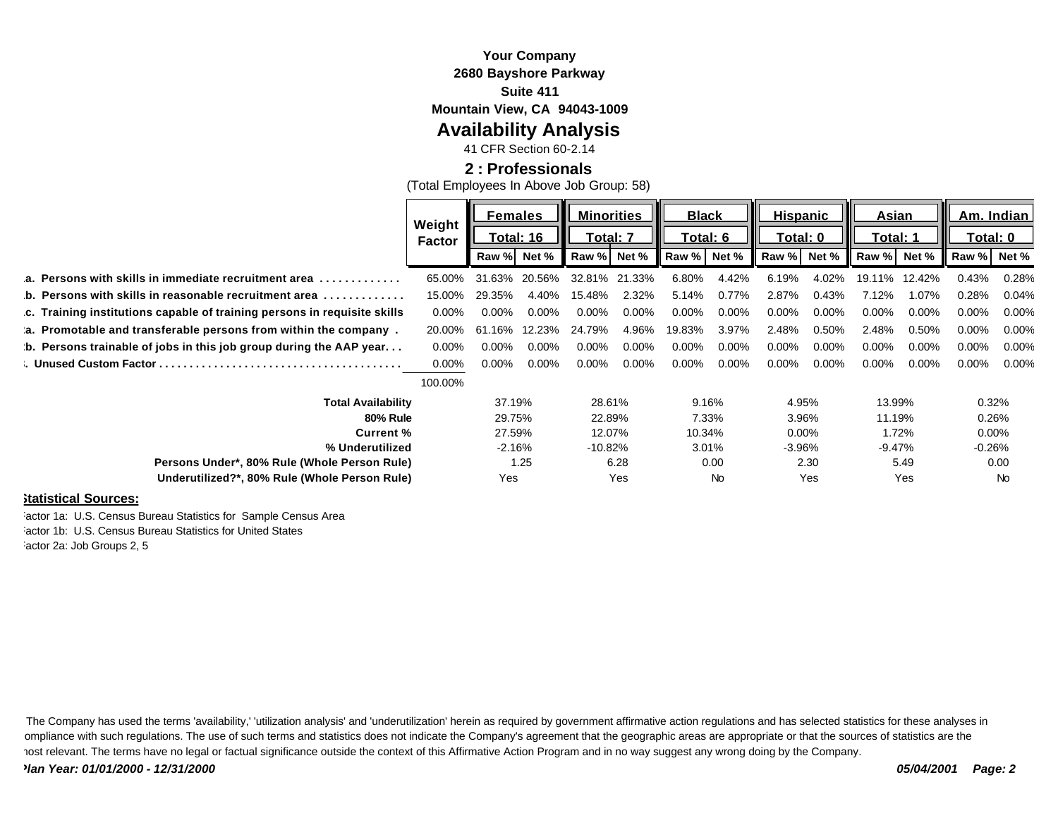#### **Your Company 2680 Bayshore Parkway Suite 411 Mountain View, CA 94043-1009**

# **Availability Analysis**

41 CFR Section 60-2.14

### **2 : Professionals**

(Total Employees In Above Job Group: 58)

|                                                                               | Weight        | <b>Females</b>          |          | <b>Minorities</b> |          | <b>Black</b> |          | <b>Hispanic</b> |          | Asian      |          | Am. Indian l |       |
|-------------------------------------------------------------------------------|---------------|-------------------------|----------|-------------------|----------|--------------|----------|-----------------|----------|------------|----------|--------------|-------|
|                                                                               | <b>Factor</b> | <u><b>Total: 16</b></u> |          | Total: 7          |          | Total: 6     |          | Total: 0        |          | Total: 1   |          | Total: 0     |       |
|                                                                               |               | Raw %                   | Net %    | Raw %             | Net %    | Raw %        | Net %    | Raw %           | Net %    | Raw %      | Net %    | Raw %        | Net % |
| a. Persons with skills in immediate recruitment area $\ldots, \ldots, \ldots$ | 65.00%        | 31.63%                  | 20.56%   | 32.81%            | 21.33%   | 6.80%        | 4.42%    | 6.19%           | 4.02%    | 19.1<br>1% | 12.42%   | 0.43%        | 0.28% |
| b. Persons with skills in reasonable recruitment area $\ldots \ldots \ldots$  | 15.00%        | 29.35%                  | 4.40%    | 15.48%            | 2.32%    | 5.14%        | 0.77%    | 2.87%           | 0.43%    | 7.12%      | 1.07%    | 0.28%        | 0.04% |
| c. Training institutions capable of training persons in requisite skills      | $0.00\%$      | $0.00\%$                | 0.00%    | $0.00\%$          | $0.00\%$ | $0.00\%$     | 0.00%    | $0.00\%$        | $0.00\%$ | $0.00\%$   | $0.00\%$ | $0.00\%$     | 0.00% |
| a. Promotable and transferable persons from within the company.               | 20.00%        | 61.16%                  | 12.23%   | 24.79%            | 4.96%    | 19.83%       | 3.97%    | 2.48%           | 0.50%    | 2.48%      | 0.50%    | 0.00%        | 0.00% |
| b. Persons trainable of jobs in this job group during the AAP year            | $0.00\%$      | $0.00\%$                | $0.00\%$ | 0.00%             | $0.00\%$ | $0.00\%$     | $0.00\%$ | 0.00%           | $0.00\%$ | $0.00\%$   | $0.00\%$ | 0.00%        | 0.00% |
|                                                                               | $0.00\%$      | $0.00\%$                | $0.00\%$ | $0.00\%$          | $0.00\%$ | $0.00\%$     | $0.00\%$ | $0.00\%$        | $0.00\%$ | $0.00\%$   | $0.00\%$ | $0.00\%$     | 0.00% |
|                                                                               | 100.00%       |                         |          |                   |          |              |          |                 |          |            |          |              |       |
| <b>Total Availability</b>                                                     |               | 37.19%                  |          | 28.61%            |          | 9.16%        |          | 4.95%           |          | 13.99%     |          | 0.32%        |       |
| <b>80% Rule</b>                                                               |               | 29.75%                  |          | 22.89%            |          | 7.33%        |          | 3.96%           |          | 11.19%     |          | 0.26%        |       |
| <b>Current %</b>                                                              |               | 27.59%                  |          | 12.07%            |          | 10.34%       |          | $0.00\%$        |          | 1.72%      |          | $0.00\%$     |       |
| % Underutilized                                                               |               | $-2.16%$                |          | $-10.82%$         |          | 3.01%        |          | $-3.96%$        |          | $-9.47%$   |          | $-0.26%$     |       |
| Persons Under*, 80% Rule (Whole Person Rule)                                  |               | 1.25                    |          | 6.28              |          | 0.00         |          | 2.30            |          | 5.49       |          | 0.00         |       |
| Underutilized?*, 80% Rule (Whole Person Rule)                                 |               | Yes                     |          | Yes               |          | <b>No</b>    |          | Yes             |          | Yes        |          | <b>No</b>    |       |
| .                                                                             |               |                         |          |                   |          |              |          |                 |          |            |          |              |       |

#### **Statistical Sources:**

actor 1a: U.S. Census Bureau Statistics for Sample Census Area Factor 1b: U.S. Census Bureau Statistics for United States actor 2a: Job Groups 2, 5

The Company has used the terms 'availability,' 'utilization analysis' and 'underutilization' herein as required by government affirmative action regulations and has selected statistics for these analyses in ompliance with such regulations. The use of such terms and statistics does not indicate the Company's agreement that the geographic areas are appropriate or that the sources of statistics are the most relevant. The terms have no legal or factual significance outside the context of this Affirmative Action Program and in no way suggest any wrong doing by the Company.

*Plan Year: 01/01/2000 - 12/31/2000 05/04/2001 Page: 2*